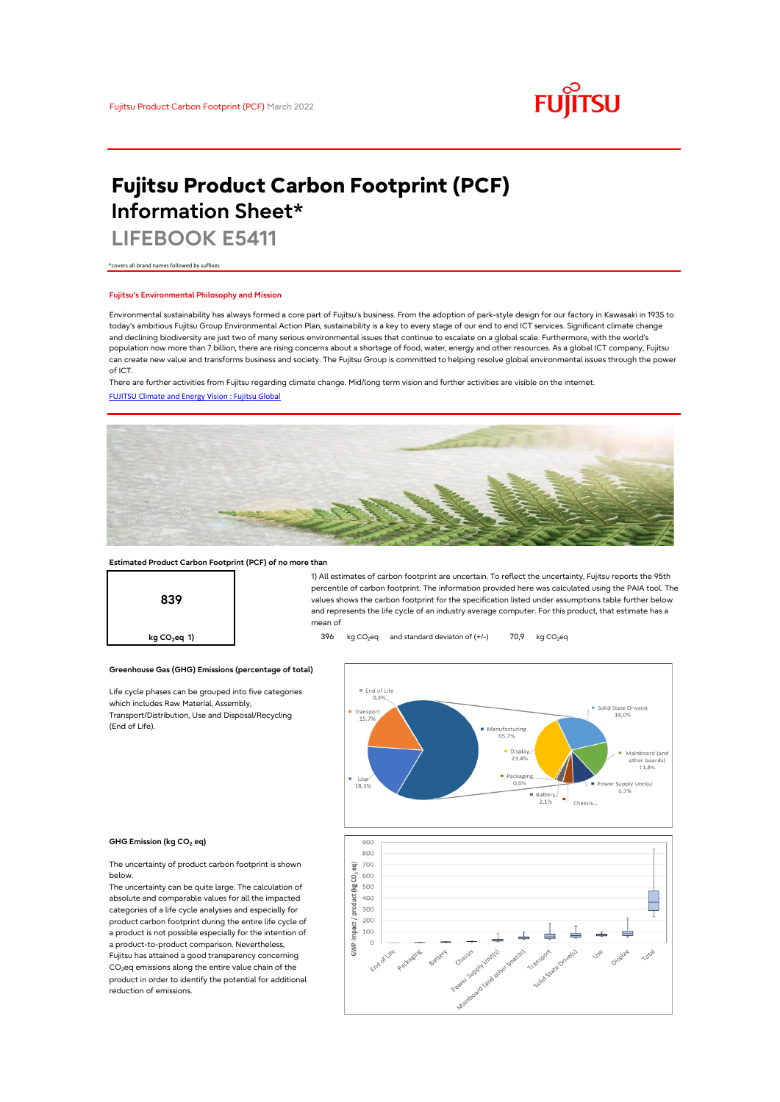

# **Fujitsu Product Carbon Footprint (PCF) Information Sheet\***

**LIFEBOOK E5411**

\*covers all brand names followed by suffixes

## **Fujitsu's Environmental Philosophy and Mission**

Environmental sustainability has always formed a core part of Fujitsu's business. From the adoption of park-style design for our factory in Kawasaki in 1935 to today's ambitious Fujitsu Group Environmental Action Plan, sustainability is a key to every stage of our end to end ICT services. Significant climate change and declining biodiversity are just two of many serious environmental issues that continue to escalate on a global scale. Furthermore, with the world's population now more than 7 billion, there are rising concerns about a shortage of food, water, energy and other resources. As a global ICT company, Fujitsu can create new value and transforms business and society. The Fujitsu Group is committed to helping resolve global environmental issues through the power of ICT.

[FUJITSU Climate and Energy Vision : Fujitsu Global](https://www.fujitsu.com/global/about/environment/climate-energy-vision/) There are further activities from Fujitsu regarding climate change. Mid/long term vision and further activities are visible on the internet.



## **Estimated Product Carbon Footprint (PCF) of no more than**



1) All estimates of carbon footprint are uncertain. To reflect the uncertainty, Fujitsu reports the 95th percentile of carbon footprint. The information provided here was calculated using the PAIA tool. The values shows the carbon footprint for the specification listed under assumptions table further below and represents the life cycle of an industry average computer. For this product, that estimate has a mean of

**kg CO<sub>2</sub>eq 1)** 396 kg CO<sub>2</sub>eq and standard deviaton of (+/-) 70,9 kg CO<sub>2</sub>eq

#### $=$  End of Life<br>0.3% Solid State Drive(s)  $\blacksquare$  Tran 18.0%  $15.7%$ Manufacturing 65.7% Mainboard (and<br>other boards)<br>11,8%  $\blacksquare$  Display 23.49 Packaging<br>0,6% Power Supply Unit(s)<br> $6,7\%$ = Battery  $\begin{array}{c} \begin{array}{c} \end{array}$  =  $\begin{array}{c} \end{array}$  Chassis.



#### **GHG Emission (kg CO2 eq)**

(End of Life).

The uncertainty of product carbon footprint is shown below.

Life cycle phases can be grouped into five categories

**Greenhouse Gas (GHG) Emissions (percentage of total)**

which includes Raw Material, Assembly, Transport/Distribution, Use and Disposal/Recycling

The uncertainty can be quite large. The calculation of absolute and comparable values for all the impacted categories of a life cycle analysies and especially for product carbon footprint during the entire life cycle of a product is not possible especially for the intention of a product-to-product comparison. Nevertheless, Fujitsu has attained a good transparency concerning CO<sub>2</sub>eq emissions along the entire value chain of the product in order to identify the potential for additional reduction of emissions.